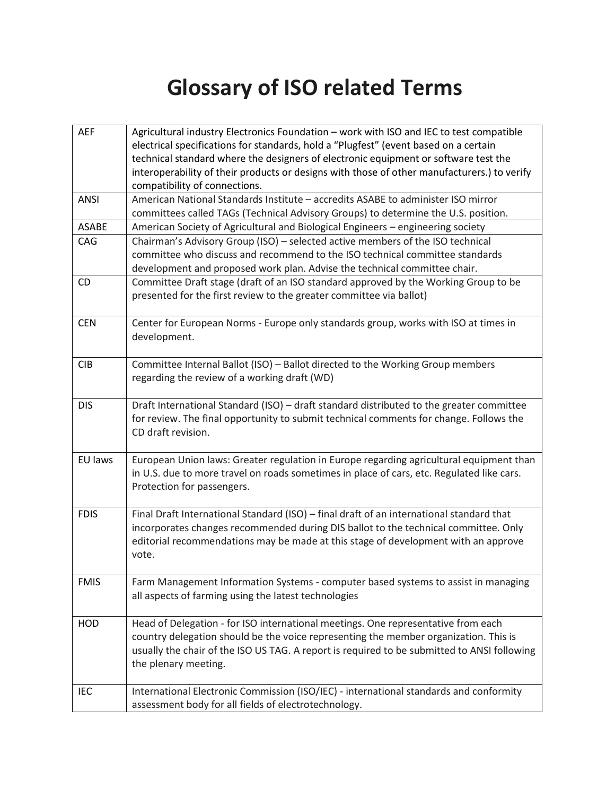## **Glossary of ISO related Terms**

| <b>AEF</b>  | Agricultural industry Electronics Foundation - work with ISO and IEC to test compatible<br>electrical specifications for standards, hold a "Plugfest" (event based on a certain |
|-------------|---------------------------------------------------------------------------------------------------------------------------------------------------------------------------------|
|             | technical standard where the designers of electronic equipment or software test the                                                                                             |
|             | interoperability of their products or designs with those of other manufacturers.) to verify                                                                                     |
|             | compatibility of connections.                                                                                                                                                   |
| <b>ANSI</b> | American National Standards Institute - accredits ASABE to administer ISO mirror                                                                                                |
|             | committees called TAGs (Technical Advisory Groups) to determine the U.S. position.                                                                                              |
| ASABE       | American Society of Agricultural and Biological Engineers - engineering society                                                                                                 |
| CAG         | Chairman's Advisory Group (ISO) - selected active members of the ISO technical                                                                                                  |
|             | committee who discuss and recommend to the ISO technical committee standards                                                                                                    |
|             | development and proposed work plan. Advise the technical committee chair.                                                                                                       |
| CD          | Committee Draft stage (draft of an ISO standard approved by the Working Group to be                                                                                             |
|             | presented for the first review to the greater committee via ballot)                                                                                                             |
|             |                                                                                                                                                                                 |
| <b>CEN</b>  | Center for European Norms - Europe only standards group, works with ISO at times in                                                                                             |
|             | development.                                                                                                                                                                    |
|             |                                                                                                                                                                                 |
| <b>CIB</b>  | Committee Internal Ballot (ISO) - Ballot directed to the Working Group members                                                                                                  |
|             | regarding the review of a working draft (WD)                                                                                                                                    |
| <b>DIS</b>  | Draft International Standard (ISO) - draft standard distributed to the greater committee                                                                                        |
|             | for review. The final opportunity to submit technical comments for change. Follows the                                                                                          |
|             | CD draft revision.                                                                                                                                                              |
|             |                                                                                                                                                                                 |
| EU laws     | European Union laws: Greater regulation in Europe regarding agricultural equipment than                                                                                         |
|             | in U.S. due to more travel on roads sometimes in place of cars, etc. Regulated like cars.                                                                                       |
|             | Protection for passengers.                                                                                                                                                      |
|             |                                                                                                                                                                                 |
| <b>FDIS</b> | Final Draft International Standard (ISO) - final draft of an international standard that                                                                                        |
|             | incorporates changes recommended during DIS ballot to the technical committee. Only                                                                                             |
|             | editorial recommendations may be made at this stage of development with an approve                                                                                              |
|             | vote.                                                                                                                                                                           |
|             |                                                                                                                                                                                 |
| <b>FMIS</b> | Farm Management Information Systems - computer based systems to assist in managing                                                                                              |
|             | all aspects of farming using the latest technologies                                                                                                                            |
| HOD         | Head of Delegation - for ISO international meetings. One representative from each                                                                                               |
|             | country delegation should be the voice representing the member organization. This is                                                                                            |
|             | usually the chair of the ISO US TAG. A report is required to be submitted to ANSI following                                                                                     |
|             | the plenary meeting.                                                                                                                                                            |
|             |                                                                                                                                                                                 |
| IEC         | International Electronic Commission (ISO/IEC) - international standards and conformity                                                                                          |
|             | assessment body for all fields of electrotechnology.                                                                                                                            |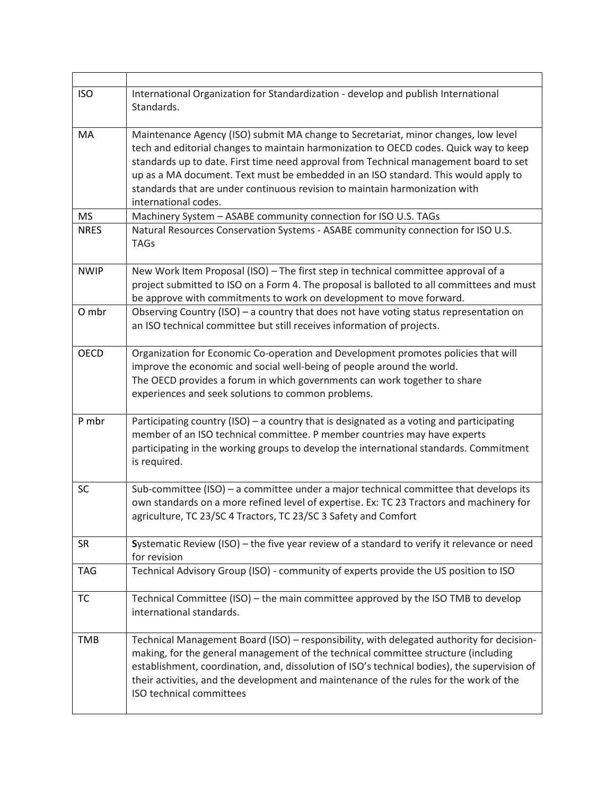| <b>ISO</b>  | International Organization for Standardization - develop and publish International<br>Standards.                                                                                                                                                                                                                                                                                                                                                                  |
|-------------|-------------------------------------------------------------------------------------------------------------------------------------------------------------------------------------------------------------------------------------------------------------------------------------------------------------------------------------------------------------------------------------------------------------------------------------------------------------------|
| MA          | Maintenance Agency (ISO) submit MA change to Secretariat, minor changes, low level<br>tech and editorial changes to maintain harmonization to OECD codes. Quick way to keep<br>standards up to date. First time need approval from Technical management board to set<br>up as a MA document. Text must be embedded in an ISO standard. This would apply to<br>standards that are under continuous revision to maintain harmonization with<br>international codes. |
| <b>MS</b>   | Machinery System - ASABE community connection for ISO U.S. TAGs                                                                                                                                                                                                                                                                                                                                                                                                   |
| <b>NRES</b> | Natural Resources Conservation Systems - ASABE community connection for ISO U.S.<br><b>TAGs</b>                                                                                                                                                                                                                                                                                                                                                                   |
| <b>NWIP</b> | New Work Item Proposal (ISO) - The first step in technical committee approval of a<br>project submitted to ISO on a Form 4. The proposal is balloted to all committees and must<br>be approve with commitments to work on development to move forward.                                                                                                                                                                                                            |
| O mbr       | Observing Country (ISO) - a country that does not have voting status representation on<br>an ISO technical committee but still receives information of projects.                                                                                                                                                                                                                                                                                                  |
| <b>OECD</b> | Organization for Economic Co-operation and Development promotes policies that will<br>improve the economic and social well-being of people around the world.<br>The OECD provides a forum in which governments can work together to share<br>experiences and seek solutions to common problems.                                                                                                                                                                   |
| P mbr       | Participating country (ISO) - a country that is designated as a voting and participating<br>member of an ISO technical committee. P member countries may have experts<br>participating in the working groups to develop the international standards. Commitment<br>is required.                                                                                                                                                                                   |
| SC          | Sub-committee (ISO) $-$ a committee under a major technical committee that develops its<br>own standards on a more refined level of expertise. Ex: TC 23 Tractors and machinery for<br>agriculture, TC 23/SC 4 Tractors, TC 23/SC 3 Safety and Comfort                                                                                                                                                                                                            |
| <b>SR</b>   | Systematic Review (ISO) - the five year review of a standard to verify it relevance or need<br>for revision                                                                                                                                                                                                                                                                                                                                                       |
| <b>TAG</b>  | Technical Advisory Group (ISO) - community of experts provide the US position to ISO                                                                                                                                                                                                                                                                                                                                                                              |
| TC          | Technical Committee (ISO) – the main committee approved by the ISO TMB to develop<br>international standards.                                                                                                                                                                                                                                                                                                                                                     |
| <b>TMB</b>  | Technical Management Board (ISO) - responsibility, with delegated authority for decision-<br>making, for the general management of the technical committee structure (including<br>establishment, coordination, and, dissolution of ISO's technical bodies), the supervision of<br>their activities, and the development and maintenance of the rules for the work of the<br>ISO technical committees                                                             |